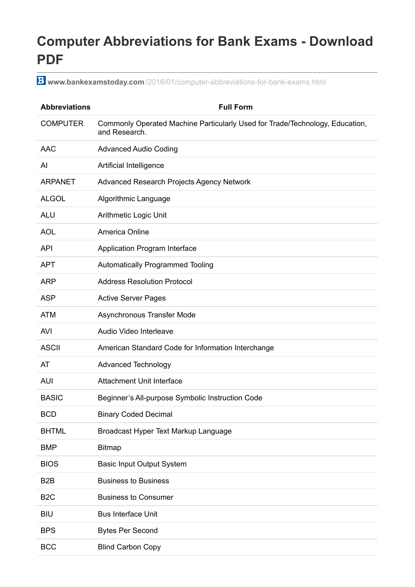## **Computer Abbreviations for Bank Exams - Download PDF**

**www.bankexamstoday.com** [/2016/01/computer-abbreviations-for-bank-exams.html](http://www.bankexamstoday.com/2016/01/computer-abbreviations-for-bank-exams.html)

| <b>Abbreviations</b> | <b>Full Form</b>                                                                              |
|----------------------|-----------------------------------------------------------------------------------------------|
| <b>COMPUTER</b>      | Commonly Operated Machine Particularly Used for Trade/Technology, Education,<br>and Research. |
| <b>AAC</b>           | <b>Advanced Audio Coding</b>                                                                  |
| Al                   | Artificial Intelligence                                                                       |
| <b>ARPANET</b>       | Advanced Research Projects Agency Network                                                     |
| <b>ALGOL</b>         | Algorithmic Language                                                                          |
| <b>ALU</b>           | Arithmetic Logic Unit                                                                         |
| <b>AOL</b>           | America Online                                                                                |
| <b>API</b>           | Application Program Interface                                                                 |
| <b>APT</b>           | Automatically Programmed Tooling                                                              |
| <b>ARP</b>           | <b>Address Resolution Protocol</b>                                                            |
| <b>ASP</b>           | <b>Active Server Pages</b>                                                                    |
| <b>ATM</b>           | Asynchronous Transfer Mode                                                                    |
| <b>AVI</b>           | Audio Video Interleave                                                                        |
| <b>ASCII</b>         | American Standard Code for Information Interchange                                            |
| AT                   | <b>Advanced Technology</b>                                                                    |
| <b>AUI</b>           | <b>Attachment Unit Interface</b>                                                              |
| <b>BASIC</b>         | Beginner's All-purpose Symbolic Instruction Code                                              |
| <b>BCD</b>           | <b>Binary Coded Decimal</b>                                                                   |
| <b>BHTML</b>         | Broadcast Hyper Text Markup Language                                                          |
| <b>BMP</b>           | <b>Bitmap</b>                                                                                 |
| <b>BIOS</b>          | <b>Basic Input Output System</b>                                                              |
| B <sub>2</sub> B     | <b>Business to Business</b>                                                                   |
| B <sub>2</sub> C     | <b>Business to Consumer</b>                                                                   |
| <b>BIU</b>           | <b>Bus Interface Unit</b>                                                                     |
| <b>BPS</b>           | <b>Bytes Per Second</b>                                                                       |
| <b>BCC</b>           | <b>Blind Carbon Copy</b>                                                                      |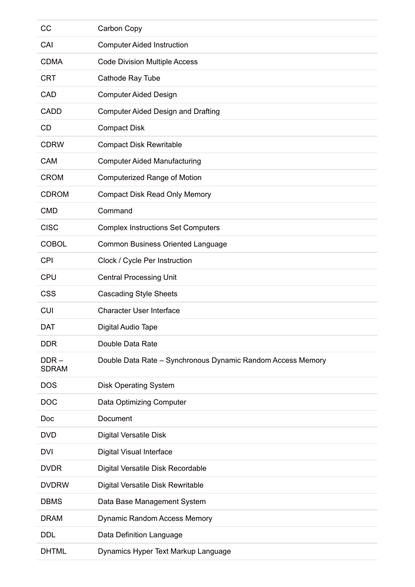| CC                      | Carbon Copy                                                 |
|-------------------------|-------------------------------------------------------------|
| CAI                     | <b>Computer Aided Instruction</b>                           |
| <b>CDMA</b>             | <b>Code Division Multiple Access</b>                        |
| <b>CRT</b>              | Cathode Ray Tube                                            |
| CAD                     | <b>Computer Aided Design</b>                                |
| <b>CADD</b>             | <b>Computer Aided Design and Drafting</b>                   |
| <b>CD</b>               | <b>Compact Disk</b>                                         |
| <b>CDRW</b>             | <b>Compact Disk Rewritable</b>                              |
| <b>CAM</b>              | <b>Computer Aided Manufacturing</b>                         |
| <b>CROM</b>             | <b>Computerized Range of Motion</b>                         |
| <b>CDROM</b>            | <b>Compact Disk Read Only Memory</b>                        |
| <b>CMD</b>              | Command                                                     |
| <b>CISC</b>             | <b>Complex Instructions Set Computers</b>                   |
| <b>COBOL</b>            | <b>Common Business Oriented Language</b>                    |
| <b>CPI</b>              | Clock / Cycle Per Instruction                               |
| <b>CPU</b>              | <b>Central Processing Unit</b>                              |
| <b>CSS</b>              | <b>Cascading Style Sheets</b>                               |
| <b>CUI</b>              | <b>Character User Interface</b>                             |
| <b>DAT</b>              | Digital Audio Tape                                          |
| <b>DDR</b>              | Double Data Rate                                            |
| $DDR -$<br><b>SDRAM</b> | Double Data Rate - Synchronous Dynamic Random Access Memory |
| <b>DOS</b>              | <b>Disk Operating System</b>                                |
| <b>DOC</b>              | <b>Data Optimizing Computer</b>                             |
| Doc                     | Document                                                    |
| <b>DVD</b>              | <b>Digital Versatile Disk</b>                               |
| <b>DVI</b>              | Digital Visual Interface                                    |
| <b>DVDR</b>             | Digital Versatile Disk Recordable                           |
| <b>DVDRW</b>            | Digital Versatile Disk Rewritable                           |
| <b>DBMS</b>             | Data Base Management System                                 |
| <b>DRAM</b>             | Dynamic Random Access Memory                                |
| <b>DDL</b>              | Data Definition Language                                    |
| <b>DHTML</b>            | Dynamics Hyper Text Markup Language                         |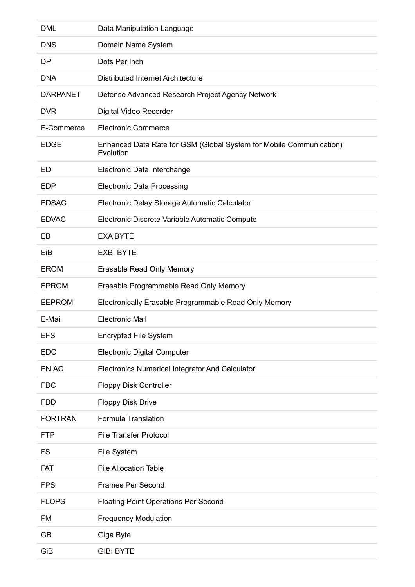| <b>DML</b>      | Data Manipulation Language                                                       |
|-----------------|----------------------------------------------------------------------------------|
| <b>DNS</b>      | Domain Name System                                                               |
| <b>DPI</b>      | Dots Per Inch                                                                    |
| <b>DNA</b>      | <b>Distributed Internet Architecture</b>                                         |
| <b>DARPANET</b> | Defense Advanced Research Project Agency Network                                 |
| <b>DVR</b>      | Digital Video Recorder                                                           |
| E-Commerce      | <b>Electronic Commerce</b>                                                       |
| <b>EDGE</b>     | Enhanced Data Rate for GSM (Global System for Mobile Communication)<br>Evolution |
| EDI             | Electronic Data Interchange                                                      |
| <b>EDP</b>      | <b>Electronic Data Processing</b>                                                |
| <b>EDSAC</b>    | Electronic Delay Storage Automatic Calculator                                    |
| <b>EDVAC</b>    | Electronic Discrete Variable Automatic Compute                                   |
| EВ              | <b>EXA BYTE</b>                                                                  |
| EiB             | <b>EXBI BYTE</b>                                                                 |
| <b>EROM</b>     | <b>Erasable Read Only Memory</b>                                                 |
| <b>EPROM</b>    | Erasable Programmable Read Only Memory                                           |
| <b>EEPROM</b>   | Electronically Erasable Programmable Read Only Memory                            |
| E-Mail          | <b>Electronic Mail</b>                                                           |
| <b>EFS</b>      | <b>Encrypted File System</b>                                                     |
| <b>EDC</b>      | <b>Electronic Digital Computer</b>                                               |
| <b>ENIAC</b>    | <b>Electronics Numerical Integrator And Calculator</b>                           |
| <b>FDC</b>      | Floppy Disk Controller                                                           |
| <b>FDD</b>      | <b>Floppy Disk Drive</b>                                                         |
| <b>FORTRAN</b>  | <b>Formula Translation</b>                                                       |
| <b>FTP</b>      | <b>File Transfer Protocol</b>                                                    |
| <b>FS</b>       | File System                                                                      |
| <b>FAT</b>      | <b>File Allocation Table</b>                                                     |
| <b>FPS</b>      | <b>Frames Per Second</b>                                                         |
| <b>FLOPS</b>    | <b>Floating Point Operations Per Second</b>                                      |
| FM              | <b>Frequency Modulation</b>                                                      |
| <b>GB</b>       | Giga Byte                                                                        |
| GiB             | <b>GIBI BYTE</b>                                                                 |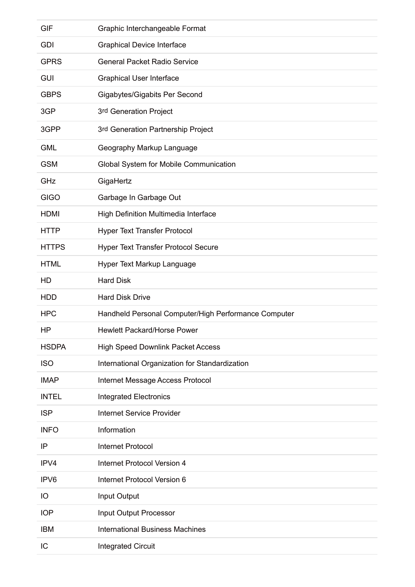| <b>GIF</b>   | Graphic Interchangeable Format                       |
|--------------|------------------------------------------------------|
| <b>GDI</b>   | <b>Graphical Device Interface</b>                    |
| <b>GPRS</b>  | <b>General Packet Radio Service</b>                  |
| <b>GUI</b>   | <b>Graphical User Interface</b>                      |
| <b>GBPS</b>  | Gigabytes/Gigabits Per Second                        |
| 3GP          | 3rd Generation Project                               |
| 3GPP         | 3rd Generation Partnership Project                   |
| <b>GML</b>   | Geography Markup Language                            |
| <b>GSM</b>   | Global System for Mobile Communication               |
| GHz          | GigaHertz                                            |
| <b>GIGO</b>  | Garbage In Garbage Out                               |
| <b>HDMI</b>  | High Definition Multimedia Interface                 |
| <b>HTTP</b>  | <b>Hyper Text Transfer Protocol</b>                  |
| <b>HTTPS</b> | <b>Hyper Text Transfer Protocol Secure</b>           |
| <b>HTML</b>  | Hyper Text Markup Language                           |
| HD           | <b>Hard Disk</b>                                     |
| <b>HDD</b>   | <b>Hard Disk Drive</b>                               |
| <b>HPC</b>   | Handheld Personal Computer/High Performance Computer |
| HP           | <b>Hewlett Packard/Horse Power</b>                   |
| <b>HSDPA</b> | <b>High Speed Downlink Packet Access</b>             |
| <b>ISO</b>   | International Organization for Standardization       |
| <b>IMAP</b>  | Internet Message Access Protocol                     |
| <b>INTEL</b> | <b>Integrated Electronics</b>                        |
| <b>ISP</b>   | <b>Internet Service Provider</b>                     |
| <b>INFO</b>  | Information                                          |
| IP           | <b>Internet Protocol</b>                             |
| IPV4         | <b>Internet Protocol Version 4</b>                   |
| IPV6         | Internet Protocol Version 6                          |
| IO           | Input Output                                         |
| <b>IOP</b>   | Input Output Processor                               |
| <b>IBM</b>   | <b>International Business Machines</b>               |
| IC           | <b>Integrated Circuit</b>                            |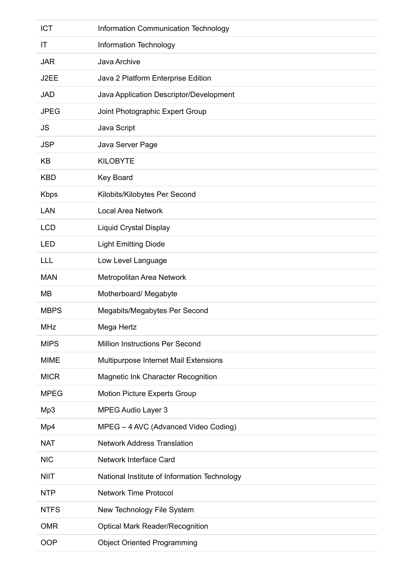| <b>ICT</b>  | Information Communication Technology         |
|-------------|----------------------------------------------|
| IT          | Information Technology                       |
| <b>JAR</b>  | Java Archive                                 |
| J2EE        | Java 2 Platform Enterprise Edition           |
| <b>JAD</b>  | Java Application Descriptor/Development      |
| <b>JPEG</b> | Joint Photographic Expert Group              |
| <b>JS</b>   | Java Script                                  |
| <b>JSP</b>  | Java Server Page                             |
| KB          | <b>KILOBYTE</b>                              |
| <b>KBD</b>  | Key Board                                    |
| <b>Kbps</b> | Kilobits/Kilobytes Per Second                |
| LAN         | <b>Local Area Network</b>                    |
| <b>LCD</b>  | Liquid Crystal Display                       |
| <b>LED</b>  | <b>Light Emitting Diode</b>                  |
| <b>LLL</b>  | Low Level Language                           |
| <b>MAN</b>  | Metropolitan Area Network                    |
| MВ          | Motherboard/ Megabyte                        |
| <b>MBPS</b> | Megabits/Megabytes Per Second                |
|             |                                              |
| <b>MHz</b>  | Mega Hertz                                   |
| <b>MIPS</b> | <b>Million Instructions Per Second</b>       |
| <b>MIME</b> | Multipurpose Internet Mail Extensions        |
| <b>MICR</b> | Magnetic Ink Character Recognition           |
| <b>MPEG</b> | <b>Motion Picture Experts Group</b>          |
| Mp3         | <b>MPEG Audio Layer 3</b>                    |
| Mp4         | MPEG - 4 AVC (Advanced Video Coding)         |
| <b>NAT</b>  | <b>Network Address Translation</b>           |
| <b>NIC</b>  | Network Interface Card                       |
| <b>NIIT</b> | National Institute of Information Technology |
| <b>NTP</b>  | <b>Network Time Protocol</b>                 |
| <b>NTFS</b> | New Technology File System                   |
| <b>OMR</b>  | <b>Optical Mark Reader/Recognition</b>       |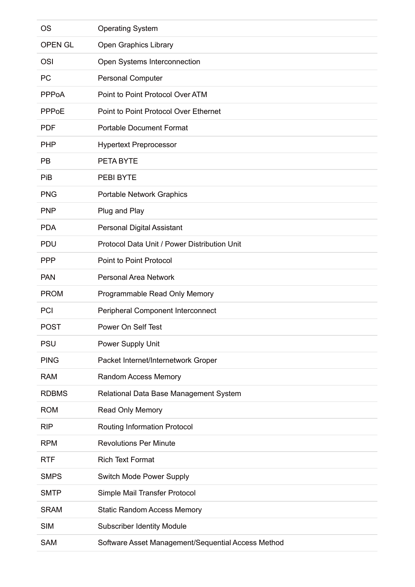| <b>OS</b>      | <b>Operating System</b>                            |
|----------------|----------------------------------------------------|
| <b>OPEN GL</b> | Open Graphics Library                              |
| <b>OSI</b>     | Open Systems Interconnection                       |
| <b>PC</b>      | <b>Personal Computer</b>                           |
| <b>PPPoA</b>   | Point to Point Protocol Over ATM                   |
| <b>PPPoE</b>   | Point to Point Protocol Over Ethernet              |
| <b>PDF</b>     | <b>Portable Document Format</b>                    |
| <b>PHP</b>     | <b>Hypertext Preprocessor</b>                      |
| <b>PB</b>      | PETA BYTE                                          |
| PiB            | PEBI BYTE                                          |
| <b>PNG</b>     | <b>Portable Network Graphics</b>                   |
| <b>PNP</b>     | Plug and Play                                      |
| <b>PDA</b>     | <b>Personal Digital Assistant</b>                  |
| <b>PDU</b>     | Protocol Data Unit / Power Distribution Unit       |
| <b>PPP</b>     | Point to Point Protocol                            |
| <b>PAN</b>     | <b>Personal Area Network</b>                       |
| <b>PROM</b>    | Programmable Read Only Memory                      |
| PCI            | Peripheral Component Interconnect                  |
| <b>POST</b>    | Power On Self Test                                 |
| <b>PSU</b>     | Power Supply Unit                                  |
| <b>PING</b>    | Packet Internet/Internetwork Groper                |
| <b>RAM</b>     | <b>Random Access Memory</b>                        |
| <b>RDBMS</b>   | Relational Data Base Management System             |
| <b>ROM</b>     | Read Only Memory                                   |
| <b>RIP</b>     | <b>Routing Information Protocol</b>                |
| <b>RPM</b>     | <b>Revolutions Per Minute</b>                      |
| <b>RTF</b>     | <b>Rich Text Format</b>                            |
| <b>SMPS</b>    | <b>Switch Mode Power Supply</b>                    |
| <b>SMTP</b>    | Simple Mail Transfer Protocol                      |
| <b>SRAM</b>    | <b>Static Random Access Memory</b>                 |
| <b>SIM</b>     | <b>Subscriber Identity Module</b>                  |
| <b>SAM</b>     | Software Asset Management/Sequential Access Method |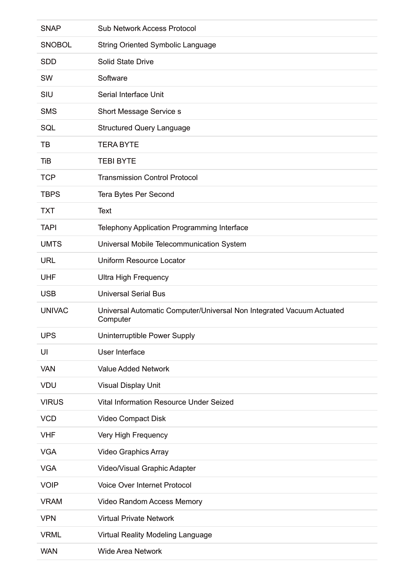| <b>SNAP</b>   | <b>Sub Network Access Protocol</b>                                                |
|---------------|-----------------------------------------------------------------------------------|
| <b>SNOBOL</b> | <b>String Oriented Symbolic Language</b>                                          |
| <b>SDD</b>    | <b>Solid State Drive</b>                                                          |
| SW            | Software                                                                          |
| SIU           | Serial Interface Unit                                                             |
| <b>SMS</b>    | Short Message Service s                                                           |
| SQL           | <b>Structured Query Language</b>                                                  |
| TB            | <b>TERA BYTE</b>                                                                  |
| <b>TiB</b>    | <b>TEBI BYTE</b>                                                                  |
| <b>TCP</b>    | <b>Transmission Control Protocol</b>                                              |
| <b>TBPS</b>   | Tera Bytes Per Second                                                             |
| <b>TXT</b>    | <b>Text</b>                                                                       |
| <b>TAPI</b>   | Telephony Application Programming Interface                                       |
| <b>UMTS</b>   | Universal Mobile Telecommunication System                                         |
| <b>URL</b>    | <b>Uniform Resource Locator</b>                                                   |
| <b>UHF</b>    | <b>Ultra High Frequency</b>                                                       |
| <b>USB</b>    | <b>Universal Serial Bus</b>                                                       |
| <b>UNIVAC</b> | Universal Automatic Computer/Universal Non Integrated Vacuum Actuated<br>Computer |
| <b>UPS</b>    | Uninterruptible Power Supply                                                      |
| UI            | User Interface                                                                    |
| <b>VAN</b>    | <b>Value Added Network</b>                                                        |
| <b>VDU</b>    | Visual Display Unit                                                               |
| <b>VIRUS</b>  | Vital Information Resource Under Seized                                           |
| <b>VCD</b>    | Video Compact Disk                                                                |
| <b>VHF</b>    | Very High Frequency                                                               |
| <b>VGA</b>    | <b>Video Graphics Array</b>                                                       |
| <b>VGA</b>    | Video/Visual Graphic Adapter                                                      |
| <b>VOIP</b>   | <b>Voice Over Internet Protocol</b>                                               |
| <b>VRAM</b>   | Video Random Access Memory                                                        |
| <b>VPN</b>    | <b>Virtual Private Network</b>                                                    |
| <b>VRML</b>   | Virtual Reality Modeling Language                                                 |
| <b>WAN</b>    | <b>Wide Area Network</b>                                                          |